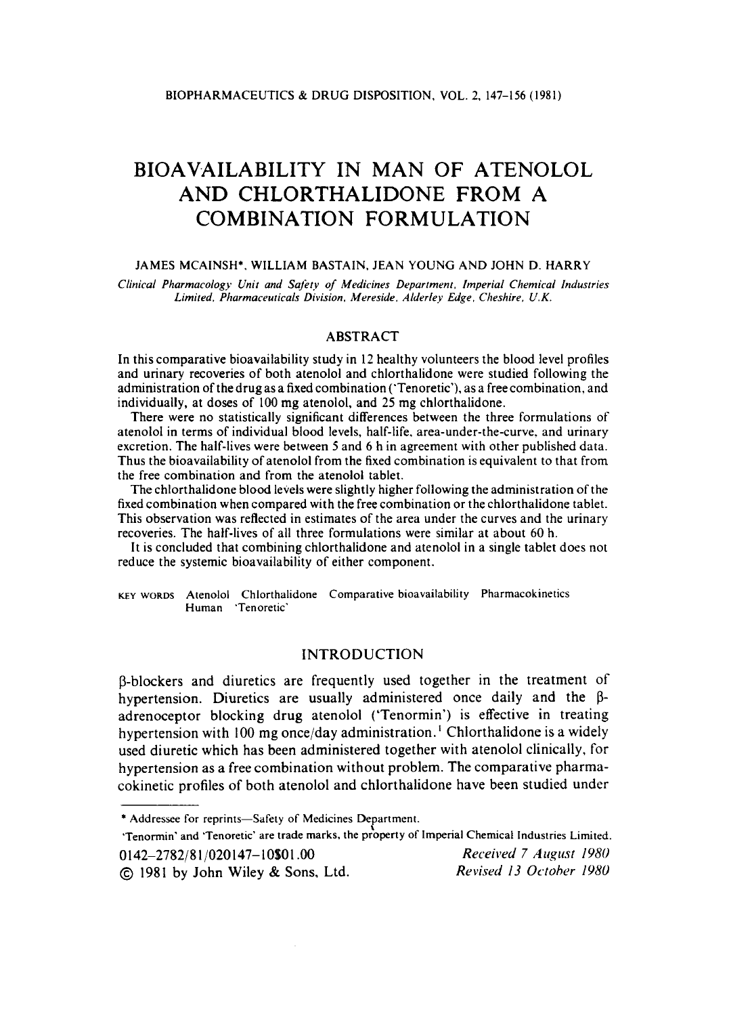# **BIOAVAILABILITY IN MAN** OF **ATENOLOL AND CHLORTHALIDONE FROM A COMBINATION FORMULATION**

#### **JAMES MCAINSH', WILLIAM BASTAIN, JEAN YOUNG AND JOHN D. HARRY**

*Clinical Pharmacology Unit and Safety of Medicines Department. Imperial Chemical Industries Limited. Pharmaceuticals Division, Mereside. Alderley Edge, Cheshire, U.K.* 

### ABSTRACT

In this comparative bioavailability study in **12** healthy volunteers the blood level profiles and urinary recoveries of both atenolol and chlorthalidone were studied following the administration of the drug as a fixed combination ('Tenoretic'), as a free combination, and individually, at doses of 100 mg atenolol, and **25** mg chlorthalidone.

There were no statistically significant differences between the three formulations of atenolol in terms of individual blood levels, half-life. area-under-the-curve, and urinary excretion. The half-lives were between **5** and **6** h in agreement with other published data. Thus the bioavailability of atenolol from the fixed combination is equivalent to that from the free combination and from the atenolol tablet.

The chlorthalidone blood levels were slightly higher following the administration of the fixed combination when compared with the free combination or the chlorthalidone tablet. This observation was reflected in estimates of the area under the curves and the urinary recoveries. The hatf-lives of all three formulations were similar at about **60** h.

It is concluded that combining chlorthalidone and atenolol in a single tablet **does** not reduce the systemic bioavailability of either component.

**KEY** WORDS **Atenolol Chlorthalidone Comparative bioavailability Pharmacokinetics Human 'Tenoretic'** 

#### INTRODUCTION

p-blockers and diuretics are frequently used together in the treatment of hypertension. Diuretics are usually administered once daily and the  $\beta$ adrenoceptor blocking drug atenolol ('Tenormin') is effective in treating hypertension with 100 mg once/day administration. ' Chlorthalidone is a widely used diuretic which has been administered together with atenolol clinically, for hypertension as a free combination without problem. The comparative pharmacokinetic profiles of both atenolol and chlorthalidone have been studied under

'Tenormin' and 'Tenoretic' are trade marks, the property of Imperial Chemical Industries Limited. 0 **142-2782/8** 1 **/020 147- 1** *O\$O* **1** *.OO Received 7 A iigiist I980* 

@ **1981** by **John** Wiley & Sons, Ltd. *Revised 13 October I980* 

<sup>\*</sup> **Addressee for reprints-Safety of Medicines Department.**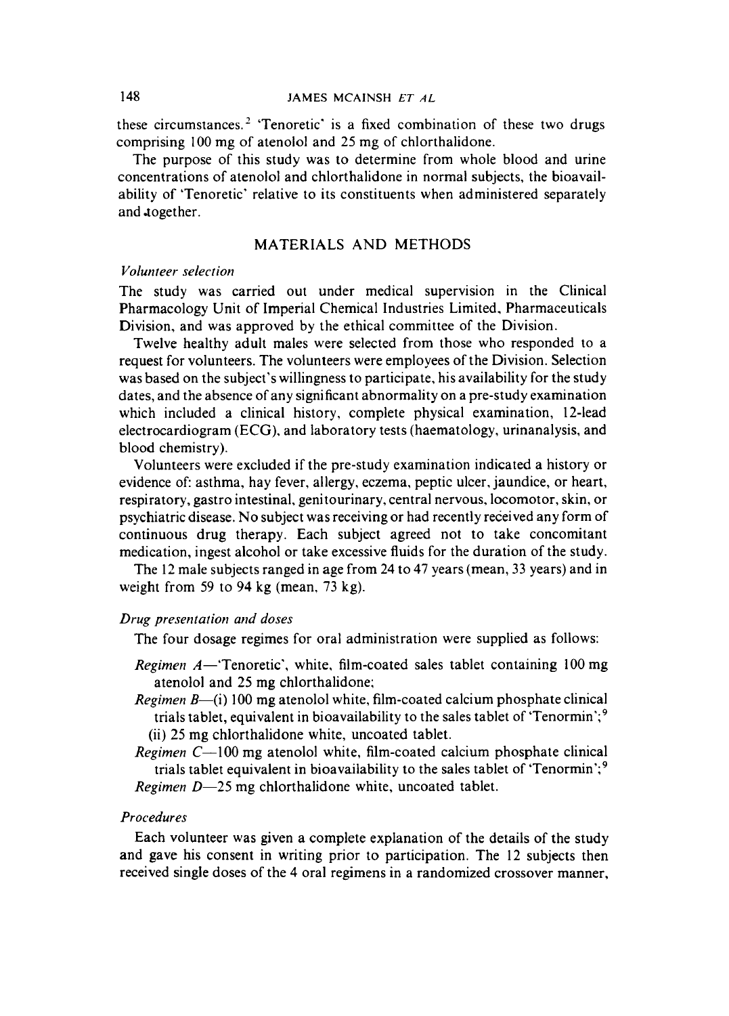these circumstances. $2$  'Tenoretic' is a fixed combination of these two drugs comprising 100 mg of atenolol and 25 mg of chlorthalidone.

The purpose of this study was to determine from whole blood and urine concentrations of atenolol and chlorthalidone in normal subjects, the bioavailability of 'Tenoretic' relative to its constituents when administered separately and together.

## MATERIALS **AND** METHODS

#### $V$ olunteer selection

The study was carried out under medical supervision in the Clinical Pharmacology Unit of Imperial Chemical Industries Limited, Pharmaceuticals Division, and was approved by the ethical committee of the Division.

Twelve healthy adult males were selected from those who responded to a request for volunteers. The volunteers were employees of the Division. Selection was based on the subject's willingness to participate, his availability for the study dates, and the absence of any significant abnormality on a pre-study examination which included a clinical history, complete physical examination, 12-lead electrocardiogram (ECG), and laboratory tests (haematology, urinanalysis, and blood chemistry).

Volunteers were excluded if the pre-study examination indicated a history or evidence of: asthma, hay fever, allergy, eczema, peptic ulcer, jaundice, or heart, respiratory, gastro intestinal, genitourinary, central nervous, locomotor, skin, **or**  psychiatric disease. No subject was receiving or had recently received any form of continuous drug therapy. Each subject agreed not to take concomitant medication, ingest alcohol or take excessive fluids for the duration of the study.

The 12 male subjects ranged in age from 24 to 47 years (mean, 33 years) and in weight from 59 to 94 kg (mean, 73 kg).

#### *Drug presentation and doses*

The four dosage regimes for oral administration were supplied as follows:

- *Regimen A*—'Tenoretic', white, film-coated sales tablet containing 100 mg atenolol and 25 mg chlorthalidone;
- *Regimen B*-(i) 100 mg atenolol white, film-coated calcium phosphate clinical trials tablet, equivalent in bioavailability to the sales tablet of 'Tenormin';' (ii) 25 mg chlorthalidone white, uncoated tablet.
- *Regimen C*-100 mg atenolol white, film-coated calcium phosphate clinical trials tablet equivalent in bioavailability to the sales tablet of 'Tenormin';'

*Regimen D*-25 mg chlorthalidone white, uncoated tablet.

## *Procedures*

Each volunteer was given a complete explanation of the details of the study and gave his consent in writing prior to participation. The 12 subjects then received single doses of the 4 oral regimens in a randomized crossover manner,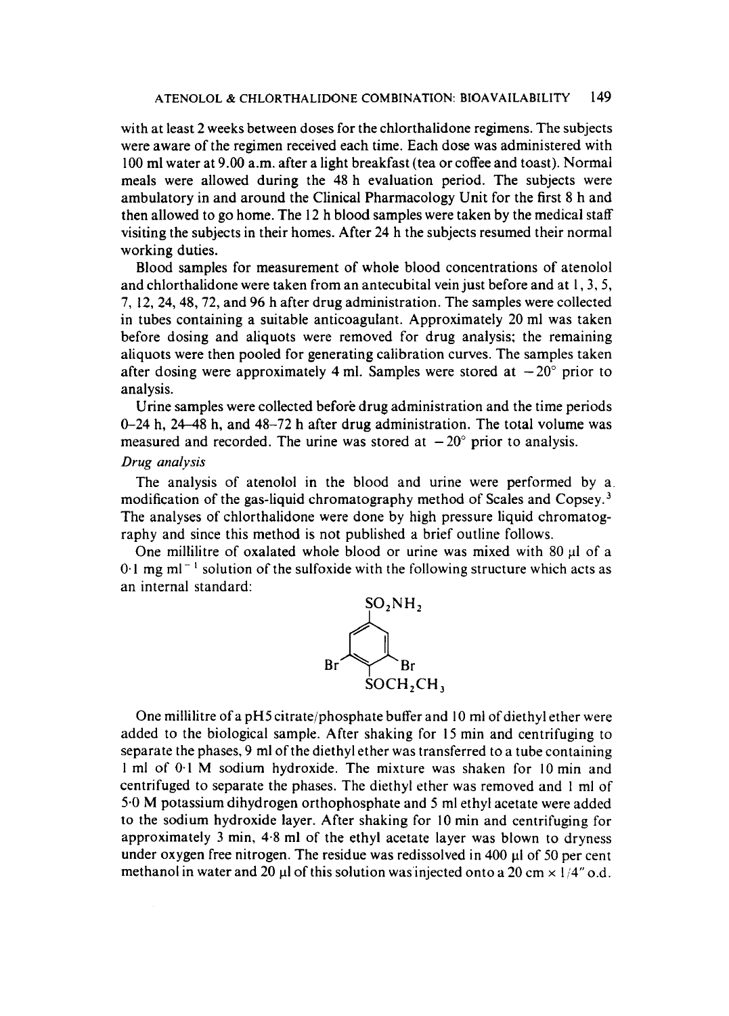with at least 2 weeks between doses for the chlorthalidone regimens. The subjects were aware of the regimen received each time. Each dose was administered with 100 ml water at 9.00 a.m. after a light breakfast (tea or coffee and toast). Normal meals were allowed during the 48 h evaluation period. The subjects were ambulatory in and around the Clinical Pharmacology Unit for the first **8** h and then allowed to go home. The 12 h blood samples were taken by the medical staff visiting the subjects in their homes. After 24 h the subjects resumed their normal working duties.

Blood samples for measurement of whole blood concentrations of atenolol and chlorthalidone were taken from an antecubital vein just before and at  $1, 3, 5$ , **7,** 12, 24,48,72, and 96 h after drug administration. The samples were collected in tubes containing a suitable anticoagulant. Approximately 20 ml was taken before dosing and aliquots were removed for drug analysis; the remaining aliquots were then pooled for generating calibration curves. The samples taken after dosing were approximately 4 ml. Samples were stored at  $-20^{\circ}$  prior to analysis.

Urine samples were collected before drug administration and the time periods 0-24 h, 24-48 h, and 48-72 h after drug administration. The total volume was measured and recorded. The urine was stored at  $-20^{\circ}$  prior to analysis.

## *Drug analysis*

The analysis of atenolol in the blood and urine were performed by a. modification of the gas-liquid chromatography method of Scales and Copsey. $<sup>3</sup>$ </sup> The analyses of chlorthalidone were done by high pressure liquid chromatography and since this method is not published a brief outline follows.

One millilitre of oxalated whole blood or urine was mixed with  $80 \mu l$  of a  $0.1$  mg m $^{-1}$  solution of the sulfoxide with the following structure which acts as an internal standard:



One millilitre of a pH5 citrate/phosphate buffer and 10 ml of diethyl ether were added to the biological sample. After shaking for 15 min and centrifuging to separate the phases, 9 ml of the diethyl ether was transferred to a tube containing 1 ml of 0-1 **M** sodium hydroxide. The mixture was shaken for **10** min and centrifuged to separate the phases. The diethyl ether was removed and 1 ml of **5.0 M** potassium dihydrogen orthophosphate and 5 ml ethyl acetate were added to the sodium hydroxide layer. After shaking for 10 min and centrifuging for approximately 3 min, 4.8 ml of the ethyl acetate layer was blown to dryness under oxygen free nitrogen. The residue was redissolved in 400 µl of 50 per cent methanol in water and 20  $\mu$ I of this solution was injected onto a 20 cm  $\times$  1/4" o.d.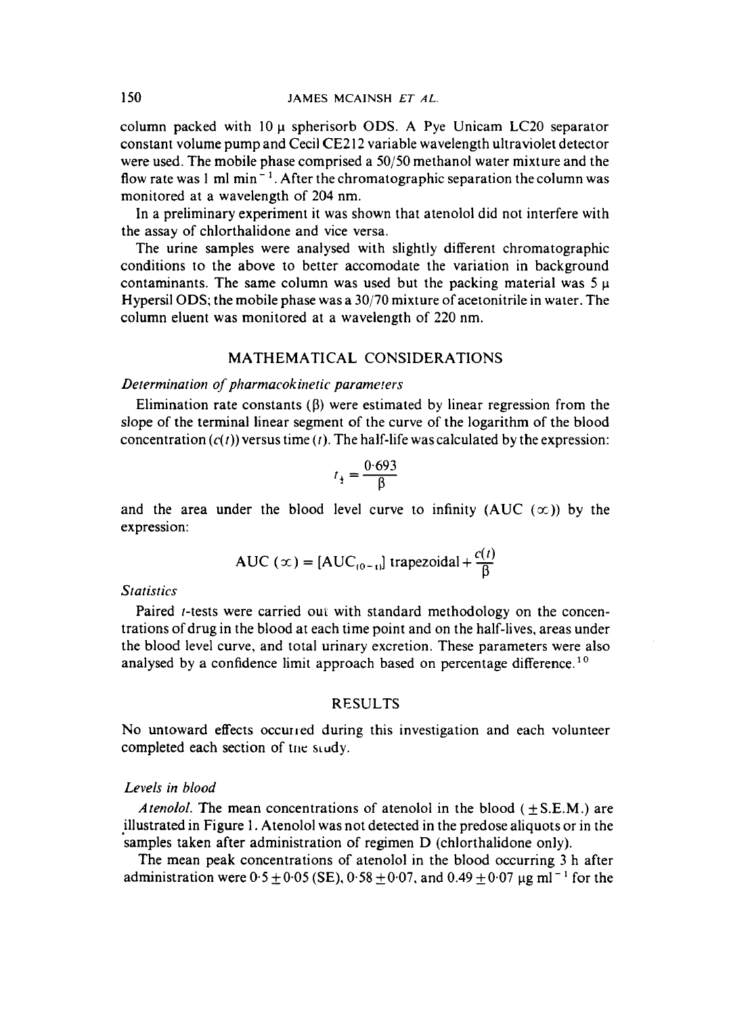column packed with 10 **p** spherisorb ODs. A Pye Unicam LC20 separator constant volume pump and Cecil CE212 variable wavelength ultraviolet detector were used. The mobile phase comprised a *50j50* methanol water mixture and the flow rate was  $1 \text{ ml min}^{-1}$ . After the chromatographic separation the column was monitored at a wavelength of **204** nm.

In a preliminary experiment it was shown that atenolol did not interfere with the assay of chlorthalidone and vice versa.

The urine samples were analysed with slightly different chromatographic conditions to the above to better accomodate the variation in background contaminants. The same column was used but the packing material was *5* **p**  Hypersil **ODs;** the mobile phase was a **30/70** mixture of acetonitrile in water. The column eluent was monitored at a wavelength of 220 nm.

## MATHEMATICAL CONSIDERATIONS

#### *Determination of pharmacokinetic parameters*

Elimination rate constants  $(\beta)$  were estimated by linear regression from the slope of the terminal linear segment of the curve of the logarithm of the blood concentration  $(c(t))$  versus time  $(t)$ . The half-life was calculated by the expression:

$$
t_{\frac{1}{2}} = \frac{0.693}{\beta}
$$

and the area under the blood level curve to infinity (AUC  $(\infty)$ ) by the expression:

AUC 
$$
(x) = [AUC_{(0-t)}]
$$
 trapezoidal +  $\frac{c(t)}{\beta}$ 

## *Statistics*

Paired *t*-tests were carried out with standard methodology on the concentrations of drug in the blood at each time point and on the half-lives, areas under the blood level curve, and total urinary excretion. These parameters were also analysed by a confidence limit approach based on percentage difference.<sup>10</sup>

## RESULTS

No untoward effects occurred during this investigation and each volunteer completed each section of the study.

## *Levels in blood*

*Atenolol.* The mean concentrations of atenolol in the blood  $(\pm S.E.M.)$  are illustrated in Figure 1. Atenolol was not detected in the predose aliquots or in the samples taken after administration of regimen D (chlorthalidone only).

The mean peak concentrations of atenolol in the blood occurring **3** h after administration were  $0.5 \pm 0.05$  (SE),  $0.58 \pm 0.07$ , and  $0.49 \pm 0.07$  µg ml<sup>-1</sup> for the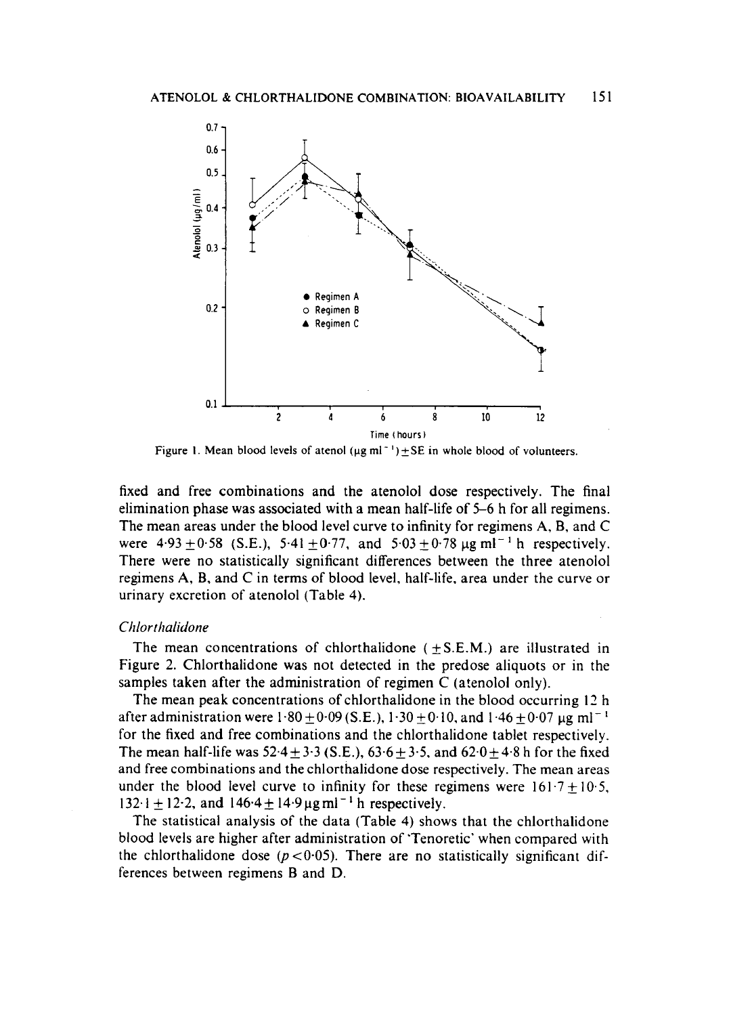

**Figure 1. Mean blood levels of atenol**  $(\mu g \text{ ml}^{-1}) \pm SE$  in whole blood of volunteers.

fixed and free combinations and the atenolol dose respectively. The final elimination phase was associated with a mean half-life **of 5-6** h for all regimens. The mean areas under the blood level curve to infinity for regimens **A,** B, and **C**  were  $4.93 \pm 0.58$  (S.E.),  $5.41 \pm 0.77$ , and  $5.03 \pm 0.78$  ug ml<sup>-1</sup> h respectively. There were no statistically significant differences between the three atenolol regimens **A,** B, and C in terms of blood level, half-life, area under the curve or urinary excretion of atenolol (Table **4).** 

#### *Chlorthalidone*

The mean concentrations of chlorthalidone  $(\pm S.E.M.)$  are illustrated in Figure 2. Chlorthalidone was not detected in the predose aliquots or in the samples taken after the administration of regimen C (atenolol only).

The mean peak concentrations of chlorthalidone in the blood occurring **17** h after administration were  $1.80 \pm 0.09$  (S.E.),  $1.30 \pm 0.10$ , and  $1.46 \pm 0.07$   $\mu$ g ml<sup>-1</sup> for the fixed and free combinations and the chlorthalidone tablet respectively. The mean half-life was  $52.4 \pm 3.3$  (S.E.),  $63.6 \pm 3.5$ , and  $62.0 \pm 4.8$  h for the fixed and free combinations and the chlorthalidone dose respectively. The mean areas under the blood level curve to infinity for these regimens were  $161.7 \pm 10.5$ ,  $132 \cdot i \pm 12 \cdot 2$ , and  $146 \cdot 4 \pm 14 \cdot 9 \mu g \text{ ml}^{-1}$  h respectively.

The statistical analysis of the data (Table **4)** shows that the chlorthalidone blood levels are higher after administration of 'Tenoretic' when compared with the chlorthalidone dose ( $p < 0.05$ ). There are no statistically significant differences between regimens B and D.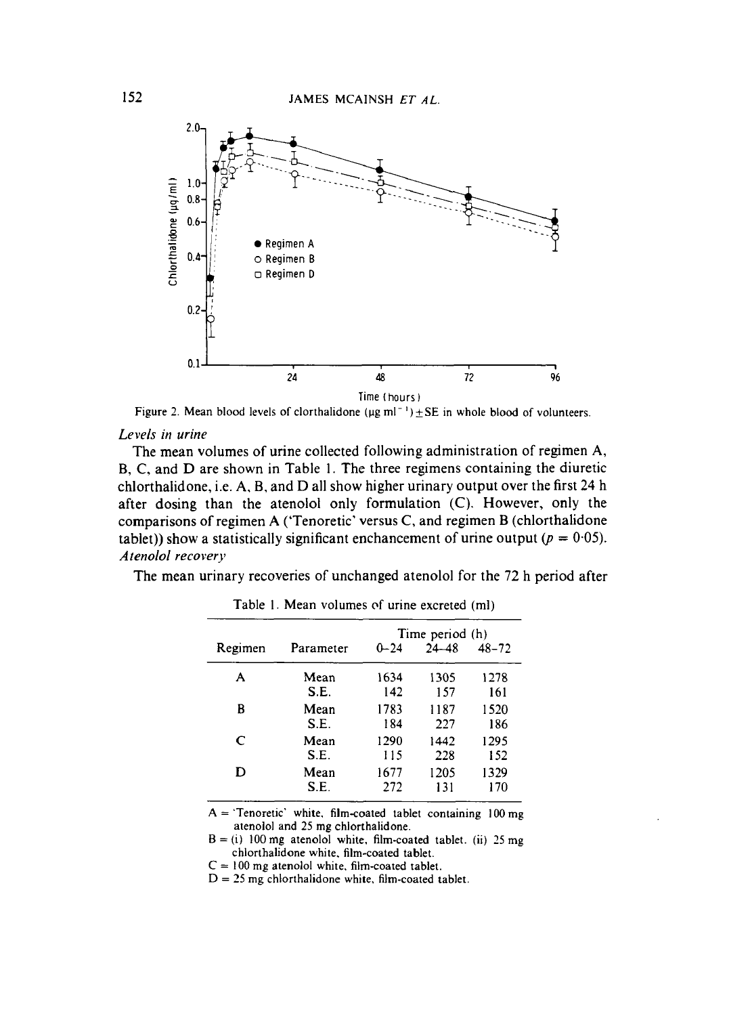

**Figure 2. Mean blood levels of clorthalidone**  $(\mu g \text{ ml}^{-1}) \pm SE$  **in whole blood of volunteers.** 

#### *Levels in urine*

The mean volumes of urine collected following administration of regimen **A, B,** C, and D are shown in Table **1.** The three regimens containing the diuretic chlorthalidone, i.e. **A,** B, and D all show higher urinary output over the first **24** h after dosing than the atenolol only formulation *(C).* However, only the comparisons of regimen **A** ('Tenoretic' versus C, and regimen **B** (chlorthalidone tablet)) show a statistically significant enchancement of urine output ( $p = 0.05$ ). *Atenolol recovery* 

The mean urinary recoveries of unchanged atenolol for the **72** h period after

|         |           | Time period (h) |           |           |  |
|---------|-----------|-----------------|-----------|-----------|--|
| Regimen | Parameter | $0 - 24$        | $24 - 48$ | $48 - 72$ |  |
| А       | Mean      | 1634            | 1305      | 1278      |  |
|         | S.E.      | 142             | 157       | 161       |  |
| B       | Mean      | 1783            | 1187      | 1520      |  |
|         | S.E.      | 184             | 227       | 186       |  |
| C       | Mean      | 1290            | 1442      | 1295      |  |
|         | S.E.      | 115             | 228       | 152       |  |
| D       | Mean      | 1677            | 1205      | 1329      |  |
|         | S.E.      | 272             | 131       | 170       |  |

**Table** I. **Mean volumes of urine excreted (ml)** 

**A** = **'Tenoretic' white. film-coated tablet containing 100** mg **atenolol and 25 mg chlorthalidone.** 

 $B = (i)$  100 mg atenolol white, film-coated tablet. (ii) 25 mg **chlorthalidone white. film-coated tablet.** 

**C** = 100 **mg atenolol white, film-coated tablet.** 

D = *25* mg **chlorthalidone white, film-coated tablet.**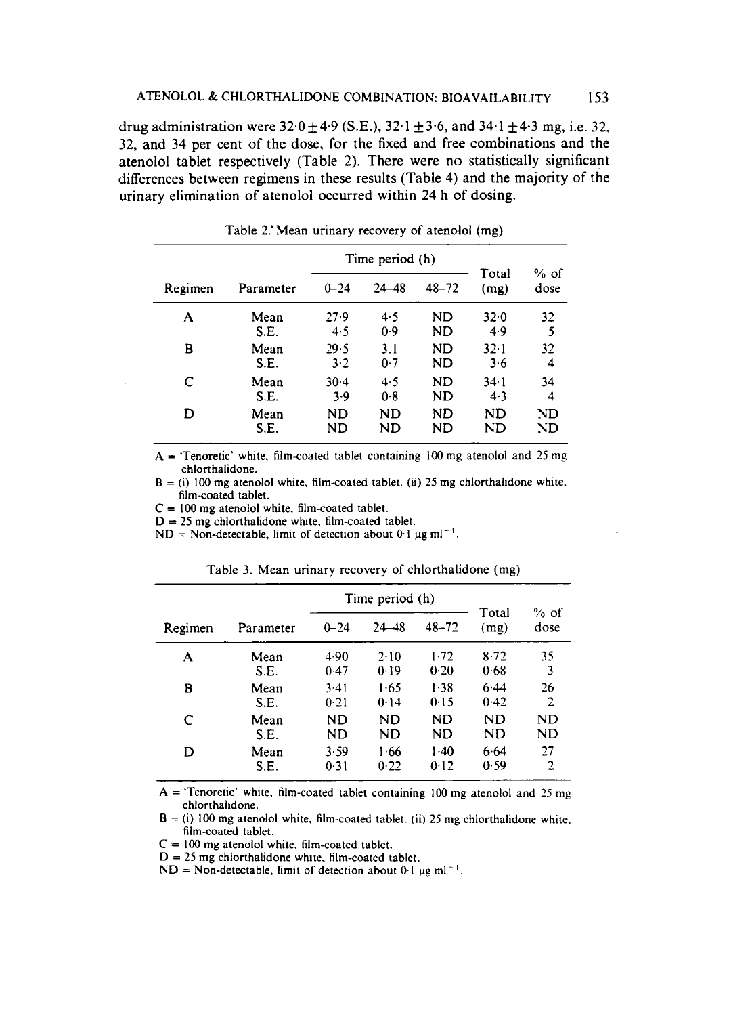drug administration were  $32.0 \pm 4.9$  (S.E.),  $32.1 \pm 3.6$ , and  $34.1 \pm 4.3$  mg, i.e. 32, **32,** and **34** per cent of the dose, for the fixed and free combinations and the atenolol tablet respectively (Table 2). There were no statistically significant differences between regimens in these results (Table **4)** and the majority of the urinary elimination of atenolol occurred within **24** h of dosing.

|         |           | Time period (h) |           |           |               |                |
|---------|-----------|-----------------|-----------|-----------|---------------|----------------|
| Regimen | Parameter | $0 - 24$        | $24 - 48$ | $48 - 72$ | Total<br>(mg) | $%$ of<br>dose |
| A       | Mean      | 27.9            | 4.5       | ND        | 32.0          | 32             |
|         | S.E.      | 4.5             | 0.9       | ND        | 4.9           | 5              |
| B       | Mean      | 29.5            | 3.1       | <b>ND</b> | $32 \cdot 1$  | 32             |
|         | S.E.      | 3.2             | 0.7       | ND        | 3.6           | 4              |
| C       | Mean      | $30-4$          | 4.5       | ND        | 34.1          | 34             |
|         | S.E.      | 3.9             | 0.8       | ND        | 4.3           | 4              |
| D       | Mean      | ND              | ND        | <b>ND</b> | ND            | ND             |
|         | S.E.      | ND              | ND        | ND        | ND            | ND             |

Table 2.'Mean urinary recovery of atenolol (mg)

 $A = 'Tenoretic'$  white, film-coated tablet containing 100 mg atenolol and 25 mg chlorthalidone.

 $B = (i)$  100 mg atenolol white, film-coated tablet. (ii) 25 mg chlorthalidone white, film-coated tablet.

 $C = 100$  mg atenolol white, film-coated tablet.

 $D = 25$  mg chlorthalidone white, film-coated tablet.

 $ND = Non-detectable, limit of detection about 0.1  $\mu g \text{ ml}^{-1}$ .$ 

|         |           |          | Time period (h) |           | Total | $%$ of |
|---------|-----------|----------|-----------------|-----------|-------|--------|
| Regimen | Parameter | $0 - 24$ | 24–48           | $48 - 72$ | (mg)  | dose   |
| A       | Mean      | 4.90     | 2.10            | 1.72      | 8.72  | 35     |
|         | S.E.      | 0.47     | 0.19            | 0.20      | 0.68  | 3      |
| B       | Mean      | 3.41     | 1.65            | 1.38      | 6.44  | 26     |
|         | S.E.      | 0.21     | 0.14            | 0.15      | 0.42  | 2      |
| C       | Mean      | ND       | ND              | ND        | ND    | ND     |
|         | S.E.      | ND       | ND              | ND        | ND    | ND     |
| D       | Mean      | 3.59     | 1.66            | $1-40$    | 6.64  | 27     |
|         | S.E.      | 0.31     | 0.22            | 0.12      | 0.59  | 2      |

Table **3.** Mean urinary recovery of chlorthalidone (mg)

**A** = 'Tenoretic' white, film-coated tablet containing 100 mg atenolol and *25* mg chlorthalidone.

 $B = (i) 100$  mg atenolol white, film-coated tablet. (ii) 25 mg chlorthalidone white, film-coated tablet.

C = **100** mg atenolol white, film-coated tablet.

~ ~~

 $D = 25$  mg chlorthalidone white, film-coated tablet.

 $ND = Non-detectable$ , limit of detection about 0.1  $\mu$ g ml<sup>-1</sup>.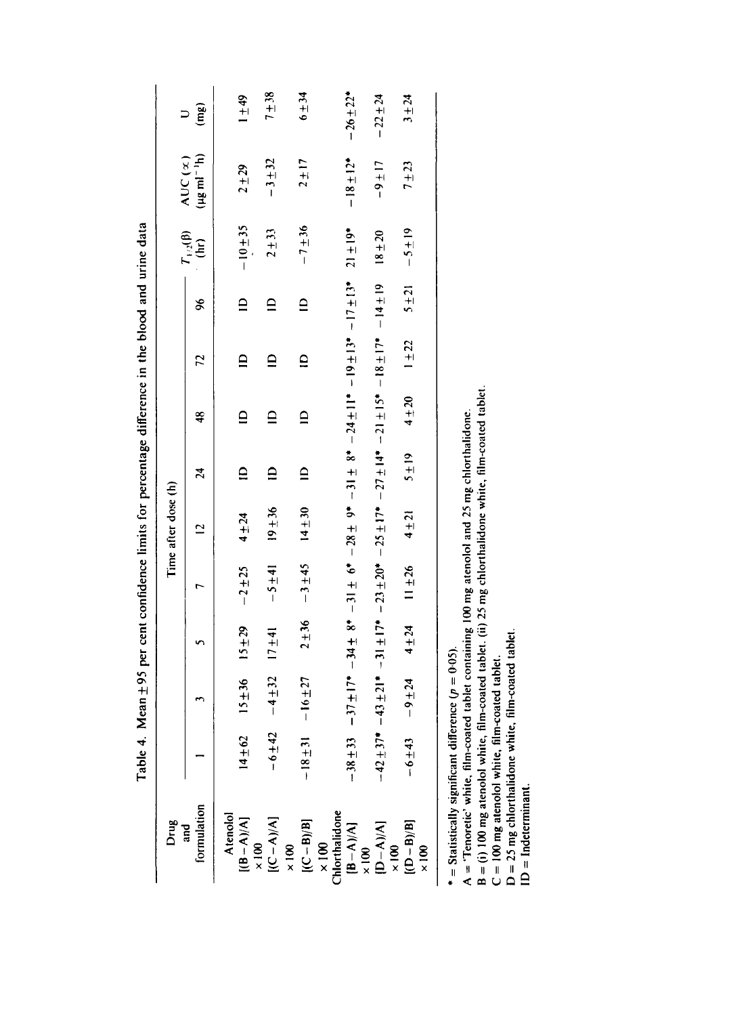| Drug                                                         |                |            |           |           | Time after dose (h) |                 |                                                                                                                       |                         |                          |                                            |                                                           |                |
|--------------------------------------------------------------|----------------|------------|-----------|-----------|---------------------|-----------------|-----------------------------------------------------------------------------------------------------------------------|-------------------------|--------------------------|--------------------------------------------|-----------------------------------------------------------|----------------|
| formulation<br>and                                           |                |            |           |           |                     | $\overline{24}$ | 48                                                                                                                    | 22                      | 96                       | $T_{1/2}(\beta)$<br>$\widehat{\mathsf{f}}$ | $(\mu g \, \text{m} \text{m}^{-1} \text{h})$<br>AUC $(x)$ | (mg)           |
| Atenolol<br>$[(B-A)/A]$<br>$\times 100$                      | $14 + 62$      | $15 + 36$  | $15 + 29$ | $-2 + 25$ | $4 + 24$            | $\overline{a}$  | $\mathbf{a}$                                                                                                          | $\mathbf{r}$            | $\mathbf{a}$             | $-10 + 35$                                 | $2 + 29$                                                  | $1\pm49$       |
| $[AC-A]/A$ ]                                                 | $-6 + 42$      | $-4 + 32$  | $17 + 41$ | $-5 + 41$ | $19 + 36$           | $\mathbf{a}$    | $\mathbf{r}$                                                                                                          | $\overline{\mathsf{C}}$ | $\mathbf{\underline{a}}$ | $2 + 33$                                   | $-3 + 32$                                                 | $7 + 38$       |
| $[ (C - B) / B ]$<br>$\frac{8}{x}$                           | $-18 + 31$     | $-16 + 27$ | $2 + 36$  | $-3 + 45$ | $14 + 30$           | $\mathbf{a}$    | $\mathbf{r}$                                                                                                          | $\supseteq$             | $\overline{\mathbf{c}}$  | $-7 + 36$                                  | $2 + 17$                                                  | $6 + 34$       |
| $\times 100$<br>Chlorthalidone<br>[B – A)/A]<br>$\times 100$ | $-38 + 33$     |            |           |           |                     |                 |                                                                                                                       |                         |                          | $21 \pm 19$ *                              | $-18 \pm 12$ <sup>*</sup>                                 | $-26 \pm 22$ * |
| $[D-A)/A]$<br>$\times 100$                                   | $-42 \pm 37$ * |            |           |           |                     |                 | $-43 \pm 21$ * $-31 \pm 17$ * $-23 \pm 20$ * $-25 \pm 17$ * $-27 \pm 14$ * $-21 \pm 15$ * $-18 \pm 17$ * $-14 \pm 19$ |                         |                          | $18 + 20$                                  | $-9 \pm 17$                                               | $-22 \pm 24$   |
| $[({D - B)/B}]$<br>$\times 100$                              | $-6 + 43$      | $-9 + 24$  | $4 + 24$  | $11 + 26$ | $4 + 21$            | $5 \pm 19$      | $4 + 20$                                                                                                              | $1 + 22$                | $5 + 21$                 | $-5 + 19$                                  | $7 + 23$                                                  | $3 + 24$       |
|                                                              |                |            |           |           |                     |                 |                                                                                                                       |                         |                          |                                            |                                                           |                |

Table 4. Mean ±95 per cent confidence limits for percentage difference in the blood and urine data Table **4.** Mean **f95** per cent confidence limits for percentage difference in the blood and urine data

\* = Statistically significant difference  $(p = 0.05)$ .

\* = Statistically significant difference  $(p = 0.05)$ .<br>A = 'Tenoretic' white, film-coated tablet containing 100 mg atenolol and 25 mg chlorthalidone.<br>B = (i) 100 mg atenolol white, film-coated tablet. (ii) 25 mg chlorthalid A = 'Tenoretic' white. film-coated tablet containing **100 mg** atenolol and 25 **mg** chlorthalidone.

B = (i) **100 mg** atenolol white, film-coated tablet. (ii) 25 mg chlorthalidone white, film-coated tablet

C = **100** mg atenolol white. film-eoated tablet.

D = 25 **mg** chlorthalidone white, film-coated tablet.

ID = Indeterminant.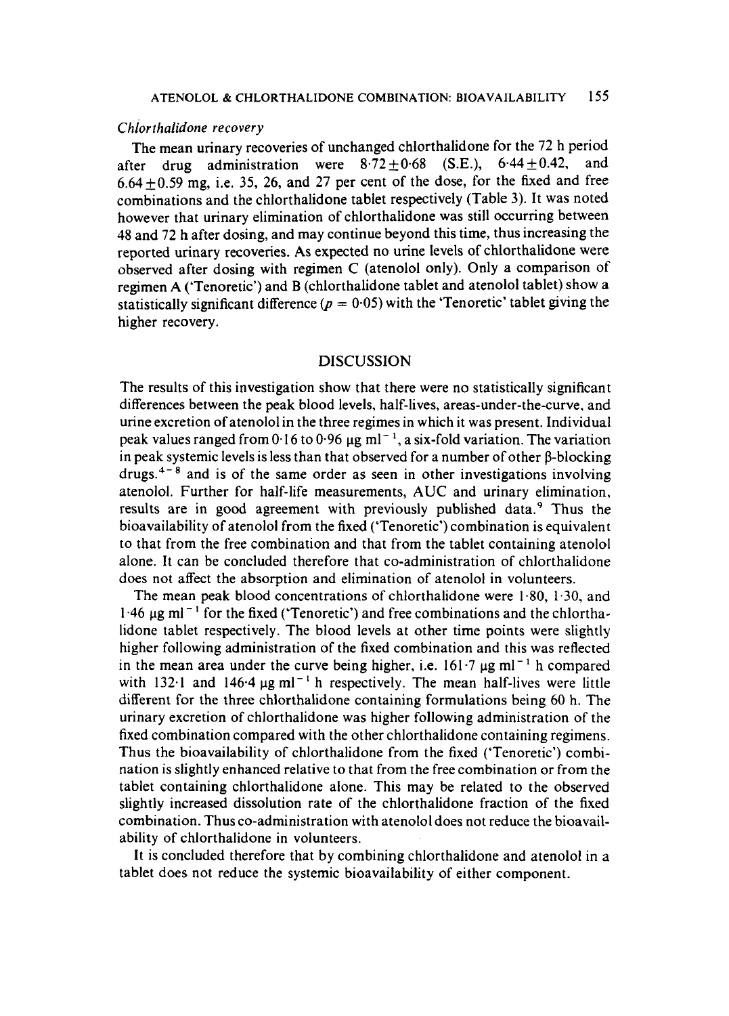#### *Chlorthalidone* **recovery**

The mean urinary recoveries of unchanged chlorthalidone for the **72** h period after drug administration were  $8.72 \pm 0.68$  (S.E.),  $6.44 \pm 0.42$ , and  $6.64 \pm 0.59$  mg, i.e. 35, 26, and 27 per cent of the dose, for the fixed and free combinations and the chlorthalidone tablet respectively (Table 3). It was noted however that urinary elimination of chlorthalidone was still occurring between **48** and **72** h after dosing, and may continue beyond this time, thus increasing the reported urinary recoveries. **As** expected no urine levels of chlorthalidone were observed after dosing with regimen C (atenolol only). Only a comparison of regimen **A** ('Tenoretic') and B (chlorthalidone tablet and atenolol tablet) show a statistically significant difference ( $p = 0.05$ ) with the 'Tenoretic' tablet giving the higher recovery.

## **DISCUSSION**

The results of this investigation show that there were no statistically significant differences between the peak blood levels, half-lives, areas-under-the-curve, and urine excretion of atenolol in the three regimes in which it was present. Individual peak values ranged from 0.16 to **0-96 pg** ml- ', a six-fold variation. The variation in peak systemic levels is less than that observed for a number of other  $\beta$ -blocking drugs.<sup>4-8</sup> and is of the same order as seen in other investigations involving atenolol. Further for half-life measurements, AUC and urinary elimination, results are in good agreement with previously published data.<sup>9</sup> Thus the bioavailability of atenolol from the fixed ('Tenoretic') combination is equivalent to that from the free combination and that from the tablet containing atenolol alone. It can be concluded therefore that co-administration of chlorthalidone does not affect the absorption and elimination of atenolol in volunteers.

The mean peak blood concentrations of chlorthalidone were **1.80,** 1.30, and  $1.46 \mu$ g ml<sup>-1</sup> for the fixed ('Tenoretic') and free combinations and the chlorthalidone tablet respectively. The blood levels at other time points were slightly higher following administration of the fixed combination and this was reflected in the mean area under the curve being higher, i.e.  $161.7 \mu g$  ml<sup>-1</sup> h compared with  $132.1$  and  $146.4 \,\mu g \text{ ml}^{-1}$  h respectively. The mean half-lives were little different for the three chlorthalidone containing formulations being **60** h. The urinary excretion of chlorthalidone was higher following administration of the fixed combination compared with the other chlorthalidone containing regimens. Thus the bioavailability of chlorthalidone from the fixed ('Tenoretic') combination is slightly enhanced relative to that from the free combination or from the tablet containing chlorthalidone alone. This may be related to the observed slightly increased dissolution rate of the chlorthalidone fraction of the fixed combination. Thus co-administration with atenolol does not reduce the bioavailability of chlorthalidone in volunteers.

It is concluded therefore that by combining chlorthalidone and atenolol in a tablet does not reduce the systemic bioavailability of either component.